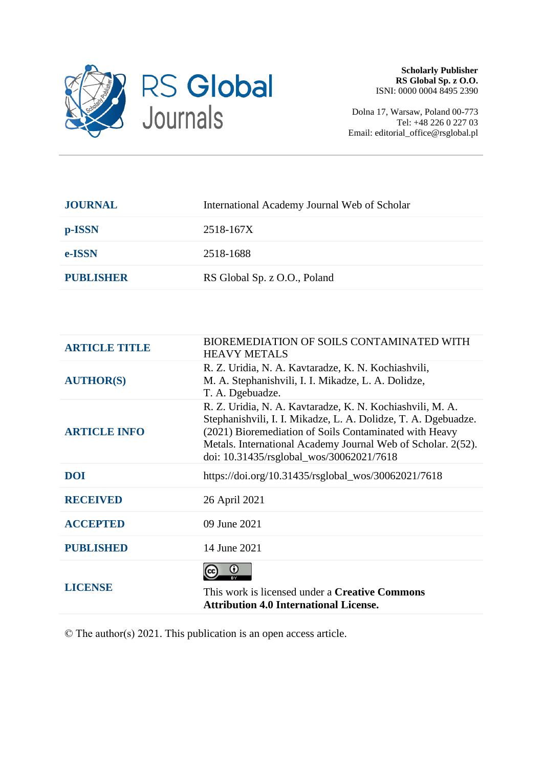

Dolna 17, Warsaw, Poland 00-773 Tel: +48 226 0 227 03 Email: editorial\_office@rsglobal.pl

| <b>JOURNAL</b>   | International Academy Journal Web of Scholar |
|------------------|----------------------------------------------|
| p-ISSN           | 2518-167X                                    |
| e-ISSN           | 2518-1688                                    |
| <b>PUBLISHER</b> | RS Global Sp. z O.O., Poland                 |
|                  |                                              |

| <b>ARTICLE TITLE</b> | BIOREMEDIATION OF SOILS CONTAMINATED WITH<br><b>HEAVY METALS</b>                                                                                                                                                                                                                                  |
|----------------------|---------------------------------------------------------------------------------------------------------------------------------------------------------------------------------------------------------------------------------------------------------------------------------------------------|
| <b>AUTHOR(S)</b>     | R. Z. Uridia, N. A. Kavtaradze, K. N. Kochiashvili,<br>M. A. Stephanishvili, I. I. Mikadze, L. A. Dolidze,<br>T. A. Dgebuadze.                                                                                                                                                                    |
| <b>ARTICLE INFO</b>  | R. Z. Uridia, N. A. Kavtaradze, K. N. Kochiashvili, M. A.<br>Stephanishvili, I. I. Mikadze, L. A. Dolidze, T. A. Dgebuadze.<br>(2021) Bioremediation of Soils Contaminated with Heavy<br>Metals. International Academy Journal Web of Scholar. 2(52).<br>doi: 10.31435/rsglobal wos/30062021/7618 |
| <b>DOI</b>           | https://doi.org/10.31435/rsglobal_wos/30062021/7618                                                                                                                                                                                                                                               |
| <b>RECEIVED</b>      | 26 April 2021                                                                                                                                                                                                                                                                                     |
| <b>ACCEPTED</b>      | 09 June 2021                                                                                                                                                                                                                                                                                      |
| <b>PUBLISHED</b>     | 14 June 2021                                                                                                                                                                                                                                                                                      |
| <b>LICENSE</b>       | $_{\odot}$<br>This work is licensed under a Creative Commons<br><b>Attribution 4.0 International License.</b>                                                                                                                                                                                     |

© The author(s) 2021. This publication is an open access article.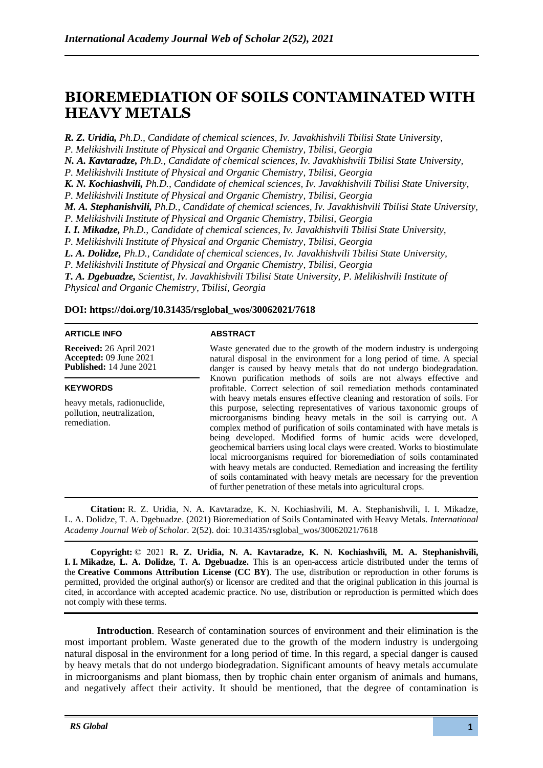# **BIOREMEDIATION OF SOILS CONTAMINATED WITH HEAVY METALS**

*R. Z. Uridia, Ph.D., Candidate of chemical sciences, Iv. Javakhishvili Tbilisi State University,*

*P. Melikishvili Institute of Physical and Organic Chemistry, Tbilisi, Georgia*

*N. A. Kavtaradze, Ph.D., Candidate of chemical sciences, Iv. Javakhishvili Tbilisi State University,*

*P. Melikishvili Institute of Physical and Organic Chemistry, Tbilisi, Georgia*

*K. N. Kochiashvili, Ph.D., Candidate of chemical sciences, Iv. Javakhishvili Tbilisi State University,*

*P. Melikishvili Institute of Physical and Organic Chemistry, Tbilisi, Georgia*

*M. A. Stephanishvili, Ph.D., Candidate of chemical sciences, Iv. Javakhishvili Tbilisi State University,*

*P. Melikishvili Institute of Physical and Organic Chemistry, Tbilisi, Georgia*

*I. I. Mikadze, Ph.D., Candidate of chemical sciences, Iv. Javakhishvili Tbilisi State University,*

*P. Melikishvili Institute of Physical and Organic Chemistry, Tbilisi, Georgia*

*L. A. Dolidze, Ph.D., Candidate of chemical sciences, Iv. Javakhishvili Tbilisi State University,*

*P. Melikishvili Institute of Physical and Organic Chemistry, Tbilisi, Georgia*

*T. A. Dgebuadze, Scientist, Iv. Javakhishvili Tbilisi State University, P. Melikishvili Institute of Physical and Organic Chemistry, Tbilisi, Georgia*

## **DOI: https://doi.org/10.31435/rsglobal\_wos/30062021/7618**

#### **ARTICLE INFO**

**Received:** 26 April 2021 **Accepted:** 09 June 2021 **Published:** 14 June 2021

#### **KEYWORDS**

heavy metals, radionuclide, pollution, neutralization, remediation.

## **ABSTRACT**

Waste generated due to the growth of the modern industry is undergoing natural disposal in the environment for a long period of time. A special danger is caused by heavy metals that do not undergo biodegradation. Known purification methods of soils are not always effective and profitable. Correct selection of soil remediation methods contaminated with heavy metals ensures effective cleaning and restoration of soils. For this purpose, selecting representatives of various taxonomic groups of microorganisms binding heavy metals in the soil is carrying out. A complex method of purification of soils contaminated with have metals is being developed. Modified forms of humic acids were developed, geochemical barriers using local clays were created. Works to biostimulate local microorganisms required for bioremediation of soils contaminated with heavy metals are conducted. Remediation and increasing the fertility of soils contaminated with heavy metals are necessary for the prevention of further penetration of these metals into agricultural crops.

**Citation:** R. Z. Uridia, N. A. Kavtaradze, K. N. Kochiashvili, M. A. Stephanishvili, I. I. Mikadze, L. A. Dolidze, T. A. Dgebuadze. (2021) Bioremediation of Soils Contaminated with Heavy Metals. *International Academy Journal Web of Scholar.* 2(52). doi: 10.31435/rsglobal\_wos/30062021/7618

**Copyright:** © 2021 **R. Z. Uridia, N. A. Kavtaradze, K. N. Kochiashvili, M. A. Stephanishvili, I. I. Mikadze, L. A. Dolidze, T. A. Dgebuadze.** This is an open-access article distributed under the terms of the **Creative Commons Attribution License (CC BY)**. The use, distribution or reproduction in other forums is permitted, provided the original author(s) or licensor are credited and that the original publication in this journal is cited, in accordance with accepted academic practice. No use, distribution or reproduction is permitted which does not comply with these terms.

**Introduction**. Research of contamination sources of environment and their elimination is the most important problem. Waste generated due to the growth of the modern industry is undergoing natural disposal in the environment for a long period of time. In this regard, a special danger is caused by heavy metals that do not undergo biodegradation. Significant amounts of heavy metals accumulate in microorganisms and plant biomass, then by trophic chain enter organism of animals and humans, and negatively affect their activity. It should be mentioned, that the degree of contamination is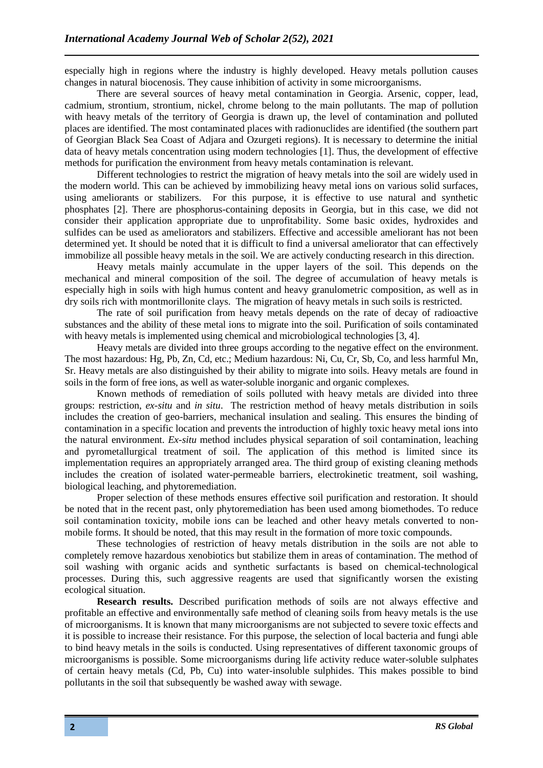especially high in regions where the industry is highly developed. Heavy metals pollution causes changes in natural biocenosis. They cause inhibition of activity in some microorganisms.

There are several sources of heavy metal contamination in Georgia. Arsenic, copper, lead, cadmium, strontium, strontium, nickel, chrome belong to the main pollutants. The map of pollution with heavy metals of the territory of Georgia is drawn up, the level of contamination and polluted places are identified. The most contaminated places with radionuclides are identified (the southern part of Georgian Black Sea Coast of Adjara and Ozurgeti regions). It is necessary to determine the initial data of heavy metals concentration using modern technologies [1]. Thus, the development of effective methods for purification the environment from heavy metals contamination is relevant.

Different technologies to restrict the migration of heavy metals into the soil are widely used in the modern world. This can be achieved by immobilizing heavy metal ions on various solid surfaces, using ameliorants or stabilizers. For this purpose, it is effective to use natural and synthetic phosphates [2]. There are phosphorus-containing deposits in Georgia, but in this case, we did not consider their application appropriate due to unprofitability. Some basic oxides, hydroxides and sulfides can be used as ameliorators and stabilizers. Effective and accessible ameliorant has not been determined yet. It should be noted that it is difficult to find a universal ameliorator that can effectively immobilize all possible heavy metals in the soil. We are actively conducting research in this direction.

Heavy metals mainly accumulate in the upper layers of the soil. This depends on the mechanical and mineral composition of the soil. The degree of accumulation of heavy metals is especially high in soils with high humus content and heavy granulometric composition, as well as in dry soils rich with montmorillonite clays. The migration of heavy metals in such soils is restricted.

The rate of soil purification from heavy metals depends on the rate of decay of radioactive substances and the ability of these metal ions to migrate into the soil. Purification of soils contaminated with heavy metals is implemented using chemical and microbiological technologies [3, 4].

Heavy metals are divided into three groups according to the negative effect on the environment. The most hazardous: Hg, Pb, Zn, Cd, etc.; Medium hazardous: Ni, Cu, Cr, Sb, Co, and less harmful Mn, Sr. Heavy metals are also distinguished by their ability to migrate into soils. Heavy metals are found in soils in the form of free ions, as well as water-soluble inorganic and organic complexes.

Known methods of remediation of soils polluted with heavy metals are divided into three groups: restriction, *ex-situ* and *in situ*. The restriction method of heavy metals distribution in soils includes the creation of geo-barriers, mechanical insulation and sealing. This ensures the binding of contamination in a specific location and prevents the introduction of highly toxic heavy metal ions into the natural environment. *Ex-situ* method includes physical separation of soil contamination, leaching and pyrometallurgical treatment of soil. The application of this method is limited since its implementation requires an appropriately arranged area. The third group of existing cleaning methods includes the creation of isolated water-permeable barriers, electrokinetic treatment, soil washing, biological leaching, and phytoremediation.

Proper selection of these methods ensures effective soil purification and restoration. It should be noted that in the recent past, only phytoremediation has been used among biomethodes. To reduce soil contamination toxicity, mobile ions can be leached and other heavy metals converted to nonmobile forms. It should be noted, that this may result in the formation of more toxic compounds.

These technologies of restriction of heavy metals distribution in the soils are not able to completely remove hazardous xenobiotics but stabilize them in areas of contamination. The method of soil washing with organic acids and synthetic surfactants is based on chemical-technological processes. During this, such aggressive reagents are used that significantly worsen the existing ecological situation.

**Research results.** Described purification methods of soils are not always effective and profitable an effective and environmentally safe method of cleaning soils from heavy metals is the use of microorganisms. It is known that many microorganisms are not subjected to severe toxic effects and it is possible to increase their resistance. For this purpose, the selection of local bacteria and fungi able to bind heavy metals in the soils is conducted. Using representatives of different taxonomic groups of microorganisms is possible. Some microorganisms during life activity reduce water-soluble sulphates of certain heavy metals (Cd, Pb, Cu) into water-insoluble sulphides. This makes possible to bind pollutants in the soil that subsequently be washed away with sewage.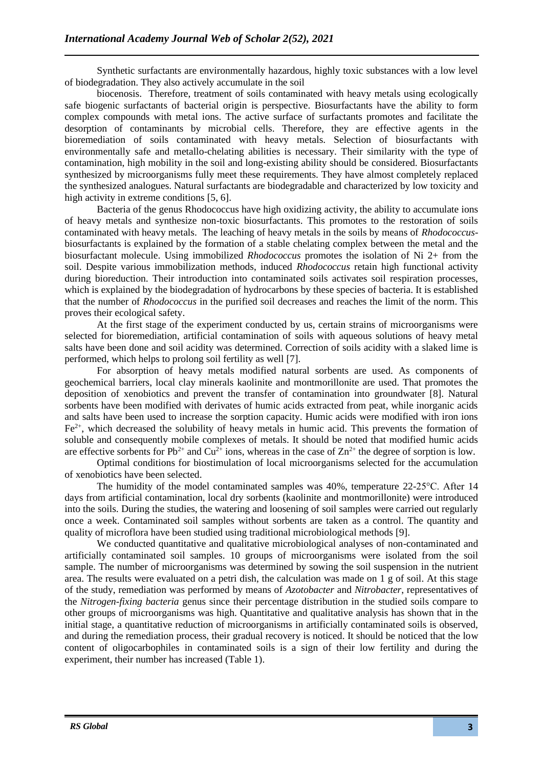Synthetic surfactants are environmentally hazardous, highly toxic substances with a low level of biodegradation. They also actively accumulate in the soil

biocenosis. Therefore, treatment of soils contaminated with heavy metals using ecologically safe biogenic surfactants of bacterial origin is perspective. Biosurfactants have the ability to form complex compounds with metal ions. The active surface of surfactants promotes and facilitate the desorption of contaminants by microbial cells. Therefore, they are effective agents in the bioremediation of soils contaminated with heavy metals. Selection of biosurfactants with environmentally safe and metallo-chelating abilities is necessary. Their similarity with the type of contamination, high mobility in the soil and long-existing ability should be considered. Biosurfactants synthesized by microorganisms fully meet these requirements. They have almost completely replaced the synthesized analogues. Natural surfactants are biodegradable and characterized by low toxicity and high activity in extreme conditions [5, 6].

Bacteria of the genus Rhodococcus have high oxidizing activity, the ability to accumulate ions of heavy metals and synthesize non-toxic biosurfactants. This promotes to the restoration of soils contaminated with heavy metals. The leaching of heavy metals in the soils by means of *Rhodococcus*biosurfactants is explained by the formation of a stable chelating complex between the metal and the biosurfactant molecule. Using immobilized *Rhodococcus* promotes the isolation of Ni 2+ from the soil. Despite various immobilization methods, induced *Rhodococcus* retain high functional activity during bioreduction. Their introduction into contaminated soils activates soil respiration processes, which is explained by the biodegradation of hydrocarbons by these species of bacteria. It is established that the number of *Rhodococcus* in the purified soil decreases and reaches the limit of the norm. This proves their ecological safety.

At the first stage of the experiment conducted by us, certain strains of microorganisms were selected for bioremediation, artificial contamination of soils with aqueous solutions of heavy metal salts have been done and soil acidity was determined. Correction of soils acidity with a slaked lime is performed, which helps to prolong soil fertility as well [7].

For absorption of heavy metals modified natural sorbents are used. As components of geochemical barriers, local clay minerals kaolinite and montmorillonite are used. That promotes the deposition of xenobiotics and prevent the transfer of contamination into groundwater [8]. Natural sorbents have been modified with derivates of humic acids extracted from peat, while inorganic acids and salts have been used to increase the sorption capacity. Humic acids were modified with iron ions  $Fe<sup>2+</sup>$ , which decreased the solubility of heavy metals in humic acid. This prevents the formation of soluble and consequently mobile complexes of metals. It should be noted that modified humic acids are effective sorbents for  $Pb^{2+}$  and  $Cu^{2+}$  ions, whereas in the case of  $Zn^{2+}$  the degree of sorption is low.

Optimal conditions for biostimulation of local microorganisms selected for the accumulation of xenobiotics have been selected.

The humidity of the model contaminated samples was 40%, temperature 22-25°C. After 14 days from artificial contamination, local dry sorbents (kaolinite and montmorillonite) were introduced into the soils. During the studies, the watering and loosening of soil samples were carried out regularly once a week. Contaminated soil samples without sorbents are taken as a control. The quantity and quality of microflora have been studied using traditional microbiological methods [9].

We conducted quantitative and qualitative microbiological analyses of non-contaminated and artificially contaminated soil samples. 10 groups of microorganisms were isolated from the soil sample. The number of microorganisms was determined by sowing the soil suspension in the nutrient area. The results were evaluated on a petri dish, the calculation was made on 1 g of soil. At this stage of the study, remediation was performed by means of *Azotobacter* and *Nitrobacter*, representatives of the *Nitrogen-fixing bacteria* genus since their percentage distribution in the studied soils compare to other groups of microorganisms was high. Quantitative and qualitative analysis has shown that in the initial stage, a quantitative reduction of microorganisms in artificially contaminated soils is observed, and during the remediation process, their gradual recovery is noticed. It should be noticed that the low content of oligocarbophiles in contaminated soils is a sign of their low fertility and during the experiment, their number has increased (Table 1).